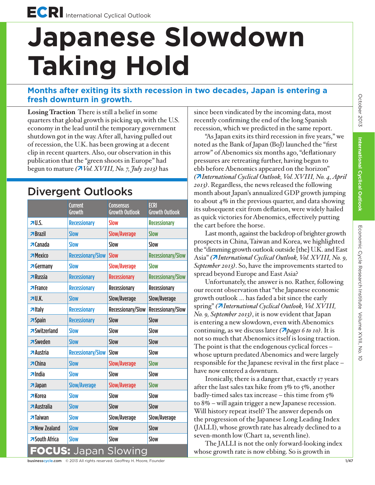## **Japanese Slowdown Taking Hold**

## **Months after exiting its sixth recession in two decades, Japan is entering a fresh downturn in growth.**

**Losing Traction** There is still a belief in some quarters that global growth is picking up, with the U.S. economy in the lead until the temporary government shutdown got in the way. After all, having pulled out of recession, the U.K. has been growing at a decent clip in recent quarters. Also, our observation in this publication that the "green shoots in Europe" had begun to mature *(Vol. XVIII, No. 7, July 2013)* has

## Divergent Outlooks

|                                | <b>Current</b><br>Growth | <b>Consensus</b><br><b>Growth Outlook</b> | <b>ECRI</b><br><b>Growth Outlook</b> |
|--------------------------------|--------------------------|-------------------------------------------|--------------------------------------|
| 70.5                           | <b>Recessionary</b>      | <b>Slow</b>                               | <b>Recessionary</b>                  |
| $\overline{B}$ Brazil          | <b>Slow</b>              | <b>Slow/Average</b>                       | <b>Slow</b>                          |
| $\pi$ Canada                   | <b>Slow</b>              | Slow                                      | Slow                                 |
| <b>7</b> Mexico                | <b>Recessionary/Slow</b> | <b>Slow</b>                               | <b>Recessionary/Slow</b>             |
| <b>7</b> Germany               | <b>Slow</b>              | <b>Slow/Average</b>                       | <b>Slow</b>                          |
| $\n  RlUssia\n$                | <b>Recessionary</b>      | <b>Recessionary</b>                       | <b>Recessionary/Slow</b>             |
| $\pi$ France                   | <b>Recessionary</b>      | <b>Recessionary</b>                       | <b>Recessionary</b>                  |
| 7U.K.                          | <b>Slow</b>              | Slow/Average                              | Slow/Average                         |
| $\n  7 Italy\n$                | <b>Recessionary</b>      | Recessionary/Slow                         | <b>Recessionary/Slow</b>             |
| $\overline{\mathbf{z}}$ Spain  | <b>Recessionary</b>      | Slow                                      | Slow                                 |
| <b>7</b> Switzerland           | <b>Slow</b>              | Slow                                      | Slow                                 |
| <b>75</b> Weden                | <b>Slow</b>              | Slow                                      | <b>Slow</b>                          |
| <b>Austria</b>                 | <b>Recessionary/Slow</b> | Slow                                      | Slow                                 |
| $\overline{\mathbf{z}}$ China  | <b>Slow</b>              | <b>Slow/Average</b>                       | <b>Slow</b>                          |
| $\n  n$ India                  | <b>Slow</b>              | Slow                                      | Slow                                 |
| $7$ Japan                      | <b>Slow/Average</b>      | <b>Slow/Average</b>                       | <b>Slow</b>                          |
| <b>7</b> Korea                 | <b>Slow</b>              | Slow                                      | Slow                                 |
| <b>Australia</b>               | <b>Slow</b>              | <b>Slow</b>                               | Slow                                 |
| $\overline{\mathbf{z}}$ Taiwan | <b>Slow</b>              | Slow/Average                              | Slow/Average                         |
| <b>New Zealand</b>             | <b>Slow</b>              | Slow                                      | Slow                                 |
| <b>7</b> South Africa          | <b>Slow</b>              | Slow                                      | Slow                                 |
| <b>FOCUS:</b> Japan Slowing    |                          |                                           |                                      |

since been vindicated by the incoming data, most recently confirming the end of the long Spanish recession, which we predicted in the same report.

"As Japan exits its third recession in five years," we noted as the Bank of Japan (BoJ) launched the "first arrow" of Abenomics six months ago, "deflationary pressures are retreating further, having begun to ebb before Abenomics appeared on the horizon" *(International Cyclical Outlook, Vol. XVIII, No. 4, April 2013)*. Regardless, the news released the following month about Japan's annualized GDP growth jumping to about 4% in the previous quarter, and data showing its subsequent exit from deflation, were widely hailed as quick victories for Abenomics, effectively putting the cart before the horse.

Last month, against the backdrop of brighter growth prospects in China, Taiwan and Korea, we highlighted the "dimming growth outlook outside [the] U.K. and East Asia" *(International Cyclical Outlook, Vol. XVIII, No. 9, September 2013)*. So, have the improvements started to spread beyond Europe and East Asia?

Unfortunately, the answer is no. Rather, following our recent observation that "the Japanese economic growth outlook … has faded a bit since the early spring" *(International Cyclical Outlook, Vol. XVIII, No. 9, September 2013)*, it is now evident that Japan is entering a new slowdown, even with Abenomics continuing, as we discuss later *(pages 6 to 10)*. It is not so much that Abenomics itself is losing traction. The point is that the endogenous cyclical forces – whose upturn predated Abenomics and were largely responsible for the Japanese revival in the first place – have now entered a downturn.

Ironically, there is a danger that, exactly 17 years after the last sales tax hike from 3% to 5%, another badly-timed sales tax increase – this time from  $5\%$ to 8% – will again trigger a new Japanese recession. Will history repeat itself? The answer depends on the progression of the Japanese Long Leading Index (JALLI), whose growth rate has already declined to a seven-month low (Chart 1a, seventh line).

The JALLI is not the only forward-looking index whose growth rate is now ebbing. So is growth in